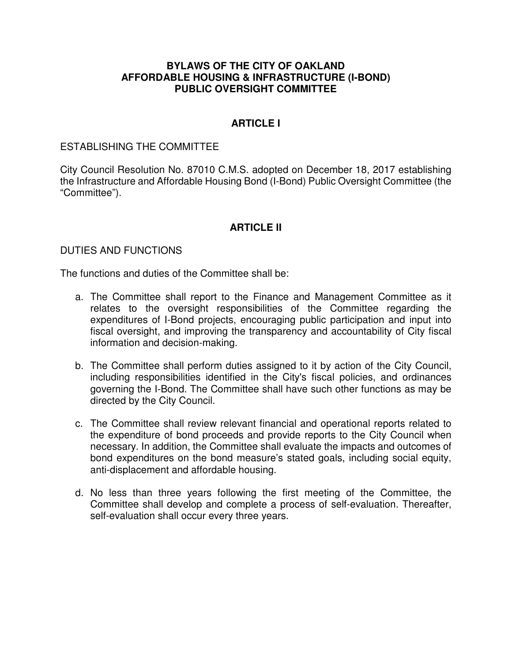### **BYLAWS OF THE CITY OF OAKLAND AFFORDABLE HOUSING & INFRASTRUCTURE (I-BOND) PUBLIC OVERSIGHT COMMITTEE**

## **ARTICLE I**

#### ESTABLISHING THE COMMITTEE

City Council Resolution No. 87010 C.M.S. adopted on December 18, 2017 establishing the Infrastructure and Affordable Housing Bond (I-Bond) Public Oversight Committee (the "Committee").

## **ARTICLE II**

#### DUTIES AND FUNCTIONS

The functions and duties of the Committee shall be:

- a. The Committee shall report to the Finance and Management Committee as it relates to the oversight responsibilities of the Committee regarding the expenditures of I-Bond projects, encouraging public participation and input into fiscal oversight, and improving the transparency and accountability of City fiscal information and decision-making.
- b. The Committee shall perform duties assigned to it by action of the City Council, including responsibilities identified in the City's fiscal policies, and ordinances governing the I-Bond. The Committee shall have such other functions as may be directed by the City Council.
- c. The Committee shall review relevant financial and operational reports related to the expenditure of bond proceeds and provide reports to the City Council when necessary. In addition, the Committee shall evaluate the impacts and outcomes of bond expenditures on the bond measure's stated goals, including social equity, anti-displacement and affordable housing.
- d. No less than three years following the first meeting of the Committee, the Committee shall develop and complete a process of self-evaluation. Thereafter, self-evaluation shall occur every three years.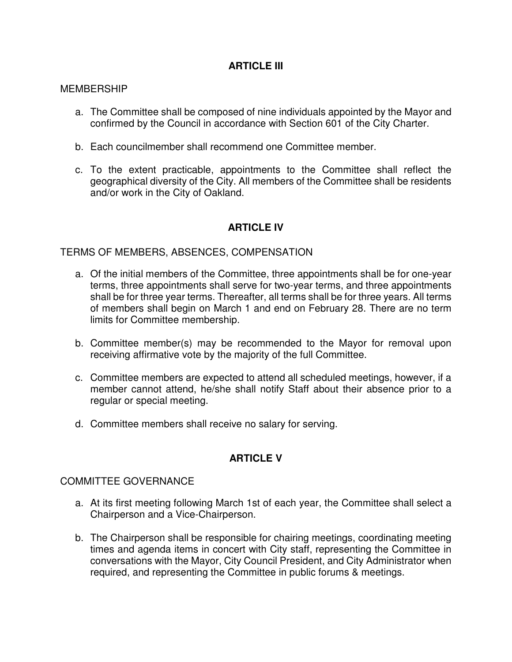# **ARTICLE III**

#### MEMBERSHIP

- a. The Committee shall be composed of nine individuals appointed by the Mayor and confirmed by the Council in accordance with Section 601 of the City Charter.
- b. Each councilmember shall recommend one Committee member.
- c. To the extent practicable, appointments to the Committee shall reflect the geographical diversity of the City. All members of the Committee shall be residents and/or work in the City of Oakland.

# **ARTICLE IV**

#### TERMS OF MEMBERS, ABSENCES, COMPENSATION

- a. Of the initial members of the Committee, three appointments shall be for one-year terms, three appointments shall serve for two-year terms, and three appointments shall be for three year terms. Thereafter, all terms shall be for three years. All terms of members shall begin on March 1 and end on February 28. There are no term limits for Committee membership.
- b. Committee member(s) may be recommended to the Mayor for removal upon receiving affirmative vote by the majority of the full Committee.
- c. Committee members are expected to attend all scheduled meetings, however, if a member cannot attend, he/she shall notify Staff about their absence prior to a regular or special meeting.
- d. Committee members shall receive no salary for serving.

# **ARTICLE V**

### COMMITTEE GOVERNANCE

- a. At its first meeting following March 1st of each year, the Committee shall select a Chairperson and a Vice-Chairperson.
- b. The Chairperson shall be responsible for chairing meetings, coordinating meeting times and agenda items in concert with City staff, representing the Committee in conversations with the Mayor, City Council President, and City Administrator when required, and representing the Committee in public forums & meetings.